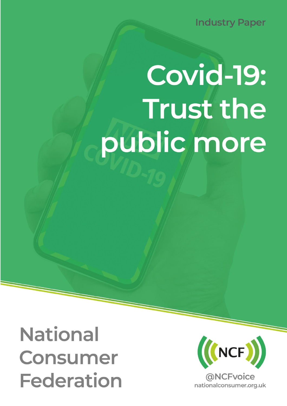**Industry Paper** 

# Covid-19: **Trust the** public more

**National Consumer Federation** 

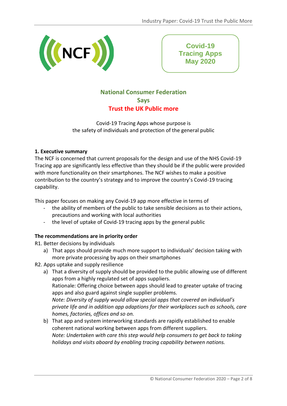

**Covid-19 Tracing Apps May 2020**

# **National Consumer Federation Says Trust the UK Public more**

Covid-19 Tracing Apps whose purpose is the safety of individuals and protection of the general public

# **1. Executive summary**

The NCF is concerned that current proposals for the design and use of the NHS Covid-19 Tracing app are significantly less effective than they should be if the public were provided with more functionality on their smartphones. The NCF wishes to make a positive contribution to the country's strategy and to improve the country's Covid-19 tracing capability.

This paper focuses on making any Covid-19 app more effective in terms of

- the ability of members of the public to take sensible decisions as to their actions, precautions and working with local authorities
- the level of uptake of Covid-19 tracing apps by the general public

# **The recommendations are in priority order**

R1. Better decisions by individuals

- a) That apps should provide much more support to individuals' decision taking with more private processing by apps on their smartphones
- R2. Apps uptake and supply resilience
	- a) That a diversity of supply should be provided to the public allowing use of different apps from a highly regulated set of apps suppliers. Rationale: Offering choice between apps should lead to greater uptake of tracing apps and also guard against single supplier problems. *Note: Diversity of supply would allow special apps that covered an individual's private life and in addition app adaptions for their workplaces such as schools, care homes, factories, offices and so on.*
	- b) That app and system interworking standards are rapidly established to enable coherent national working between apps from different suppliers. *Note: Undertaken with care this step would help consumers to get back to taking holidays and visits aboard by enabling tracing capability between nations.*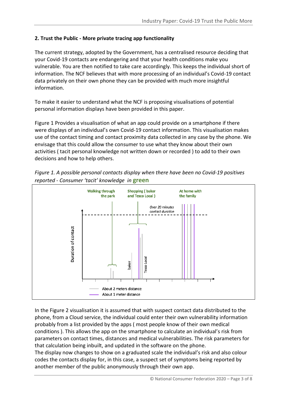# **2. Trust the Public - More private tracing app functionality**

The current strategy, adopted by the Government, has a centralised resource deciding that your Covid-19 contacts are endangering and that your health conditions make you vulnerable. You are then notified to take care accordingly. This keeps the individual short of information. The NCF believes that with more processing of an individual's Covid-19 contact data privately on their own phone they can be provided with much more insightful information.

To make it easier to understand what the NCF is proposing visualisations of potential personal information displays have been provided in this paper.

Figure 1 Provides a visualisation of what an app could provide on a smartphone if there were displays of an individual's own Covid-19 contact information. This visualisation makes use of the contact timing and contact proximity data collected in any case by the phone. We envisage that this could allow the consumer to use what they know about their own activities ( tacit personal knowledge not written down or recorded ) to add to their own decisions and how to help others.





In the Figure 2 visualisation it is assumed that with suspect contact data distributed to the phone, from a Cloud service, the individual could enter their own vulnerability information probably from a list provided by the apps ( most people know of their own medical conditions ). This allows the app on the smartphone to calculate an individual's risk from parameters on contact times, distances and medical vulnerabilities. The risk parameters for that calculation being inbuilt, and updated in the software on the phone.

The display now changes to show on a graduated scale the individual's risk and also colour codes the contacts display for, in this case, a suspect set of symptoms being reported by another member of the public anonymously through their own app.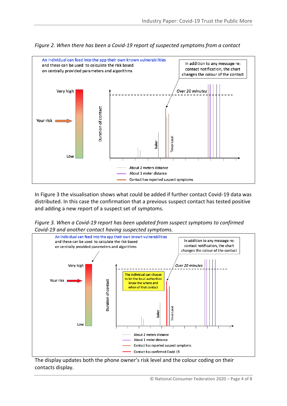

*Figure 2. When there has been a Covid-19 report of suspected symptoms from a contact*

In Figure 3 the visualisation shows what could be added if further contact Covid-19 data was distributed. In this case the confirmation that a previous suspect contact has tested positive and adding a new report of a suspect set of symptoms.

*Figure 3. When a Covid-19 report has been updated from suspect symptoms to confirmed Covid-19 and another contact having suspected symptoms.*



The display updates both the phone owner's risk level and the colour coding on their contacts display.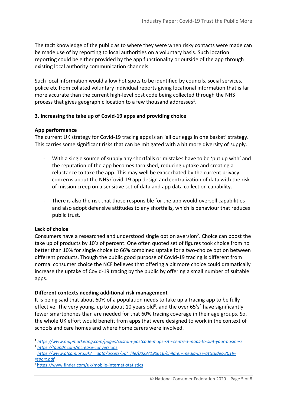The tacit knowledge of the public as to where they were when risky contacts were made can be made use of by reporting to local authorities on a voluntary basis. Such location reporting could be either provided by the app functionality or outside of the app through existing local authority communication channels.

Such local information would allow hot spots to be identified by councils, social services, police etc from collated voluntary individual reports giving locational information that is far more accurate than the current high-level post code being collected through the NHS process that gives geographic location to a few thousand addresses<sup>1</sup>.

# **3. Increasing the take up of Covid-19 apps and providing choice**

# **App performance**

The current UK strategy for Covid-19 tracing apps is an 'all our eggs in one basket' strategy. This carries some significant risks that can be mitigated with a bit more diversity of supply.

- With a single source of supply any shortfalls or mistakes have to be 'put up with' and the reputation of the app becomes tarnished, reducing uptake and creating a reluctance to take the app. This may well be exacerbated by the current privacy concerns about the NHS Covid-19 app design and centralization of data with the risk of mission creep on a sensitive set of data and app data collection capability.
- There is also the risk that those responsible for the app would oversell capabilities and also adopt defensive attitudes to any shortfalls, which is behaviour that reduces public trust.

# **Lack of choice**

Consumers have a researched and understood single option aversion<sup>2</sup>. Choice can boost the take up of products by 10's of percent. One often quoted set of figures took choice from no better than 10% for single choice to 66% combined uptake for a two-choice option between different products. Though the public good purpose of Covid-19 tracing is different from normal consumer choice the NCF believes that offering a bit more choice could dramatically increase the uptake of Covid-19 tracing by the public by offering a small number of suitable apps.

# **Different contexts needing additional risk management**

It is being said that about 60% of a population needs to take up a tracing app to be fully effective. The very young, up to about 10 years old<sup>3</sup>, and the over 65's<sup>4</sup> have significantly fewer smartphones than are needed for that 60% tracing coverage in their age groups. So, the whole UK effort would benefit from apps that were designed to work in the context of schools and care homes and where home carers were involved.

<sup>1</sup> *<https://www.mapmarketing.com/pages/custom-postcode-maps-site-centred-maps-to-suit-your-business>* <sup>2</sup> *<https://foundr.com/increase-conversions>*

*<sup>3</sup> [https://www.ofcom.org.uk/\\_\\_data/assets/pdf\\_file/0023/190616/children-media-use-attitudes-2019](https://www.ofcom.org.uk/__data/assets/pdf_file/0023/190616/children-media-use-attitudes-2019-report.pdf) [report.pdf](https://www.ofcom.org.uk/__data/assets/pdf_file/0023/190616/children-media-use-attitudes-2019-report.pdf)*

4 <https://www.finder.com/uk/mobile-internet-statistics>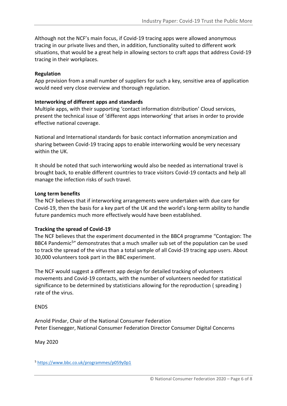Although not the NCF's main focus, if Covid-19 tracing apps were allowed anonymous tracing in our private lives and then, in addition, functionality suited to different work situations, that would be a great help in allowing sectors to craft apps that address Covid-19 tracing in their workplaces.

#### **Regulation**

App provision from a small number of suppliers for such a key, sensitive area of application would need very close overview and thorough regulation.

#### **Interworking of different apps and standards**

Multiple apps, with their supporting 'contact information distribution' Cloud services, present the technical issue of 'different apps interworking' that arises in order to provide effective national coverage.

National and International standards for basic contact information anonymization and sharing between Covid-19 tracing apps to enable interworking would be very necessary within the UK.

It should be noted that such interworking would also be needed as international travel is brought back, to enable different countries to trace visitors Covid-19 contacts and help all manage the infection risks of such travel.

#### **Long term benefits**

The NCF believes that if interworking arrangements were undertaken with due care for Covid-19, then the basis for a key part of the UK and the world's long-term ability to handle future pandemics much more effectively would have been established.

#### **Tracking the spread of Covid-19**

The NCF believes that the experiment documented in the BBC4 programme "Contagion: The BBC4 Pandemic<sup>5</sup>" demonstrates that a much smaller sub set of the population can be used to track the spread of the virus than a total sample of all Covid-19 tracing app users. About 30,000 volunteers took part in the BBC experiment.

The NCF would suggest a different app design for detailed tracking of volunteers movements and Covid-19 contacts, with the number of volunteers needed for statistical significance to be determined by statisticians allowing for the reproduction ( spreading ) rate of the virus.

ENDS

Arnold Pindar, Chair of the National Consumer Federation Peter Eisenegger, National Consumer Federation Director Consumer Digital Concerns

May 2020

<sup>5</sup> <https://www.bbc.co.uk/programmes/p059y0p1>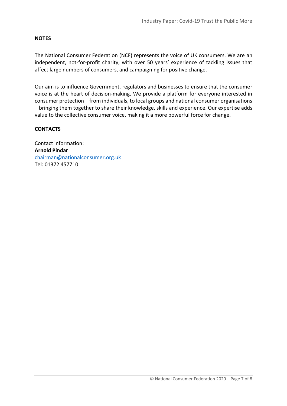#### **NOTES**

The National Consumer Federation (NCF) represents the voice of UK consumers. We are an independent, not-for-profit charity, with over 50 years' experience of tackling issues that affect large numbers of consumers, and campaigning for positive change.

Our aim is to influence Government, regulators and businesses to ensure that the consumer voice is at the heart of decision-making. We provide a platform for everyone interested in consumer protection – from individuals, to local groups and national consumer organisations – bringing them together to share their knowledge, skills and experience. Our expertise adds value to the collective consumer voice, making it a more powerful force for change.

#### **CONTACTS**

Contact information: **Arnold Pindar** [chairman@nationalconsumer.org.uk](mailto:chairman@nationalconsumer.org.uk) Tel: 01372 457710